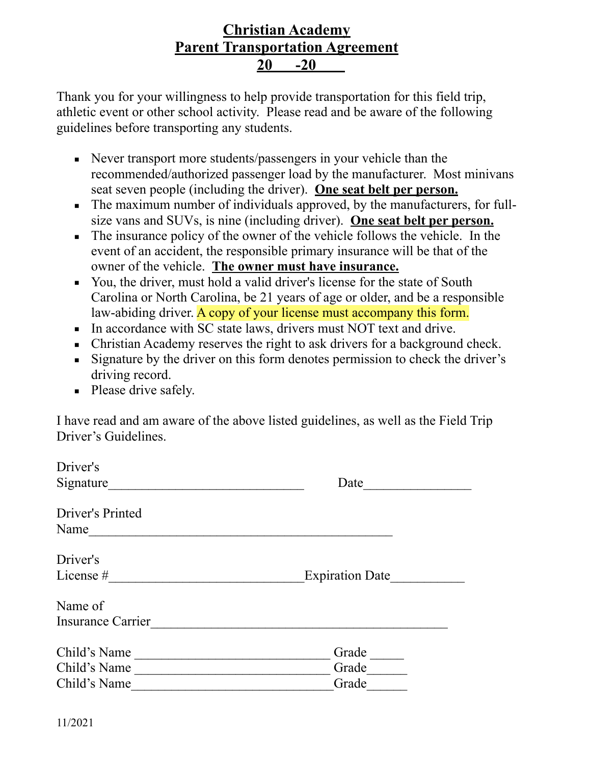## **Christian Academy Parent Transportation Agreement 20 -20**

Thank you for your willingness to help provide transportation for this field trip, athletic event or other school activity. Please read and be aware of the following guidelines before transporting any students.

- Never transport more students/passengers in your vehicle than the recommended/authorized passenger load by the manufacturer. Most minivans seat seven people (including the driver). **One seat belt per person.**
- **•** The maximum number of individuals approved, by the manufacturers, for fullsize vans and SUVs, is nine (including driver). **One seat belt per person.**
- The insurance policy of the owner of the vehicle follows the vehicle. In the event of an accident, the responsible primary insurance will be that of the owner of the vehicle. **The owner must have insurance.**
- You, the driver, must hold a valid driver's license for the state of South Carolina or North Carolina, be 21 years of age or older, and be a responsible law-abiding driver. A copy of your license must accompany this form.
- In accordance with SC state laws, drivers must NOT text and drive.
- **Christian Academy reserves the right to ask drivers for a background check.**
- **Example 1** Signature by the driver on this form denotes permission to check the driver's driving record.
- **•** Please drive safely.

I have read and am aware of the above listed guidelines, as well as the Field Trip Driver's Guidelines.

| Driver's                                     |                         |
|----------------------------------------------|-------------------------|
| Signature                                    | Date                    |
| Driver's Printed<br>Name                     |                         |
| Driver's<br>License #                        | <b>Expiration Date</b>  |
| Name of<br><b>Insurance Carrier</b>          |                         |
| Child's Name<br>Child's Name<br>Child's Name | Grade<br>Grade<br>Grade |